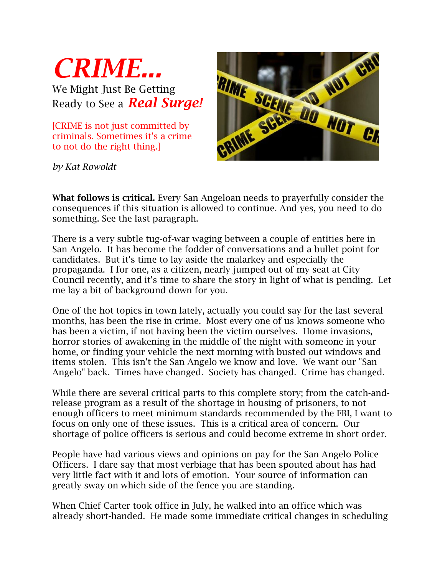

We Might Just Be Getting Ready to See a *Real Surge!*

[CRIME is not just committed by criminals. Sometimes it's a crime to not do the right thing.]



*by Kat Rowoldt*

**What follows is critical.** Every San Angeloan needs to prayerfully consider the consequences if this situation is allowed to continue. And yes, you need to do something. See the last paragraph.

There is a very subtle tug-of-war waging between a couple of entities here in San Angelo. It has become the fodder of conversations and a bullet point for candidates. But it's time to lay aside the malarkey and especially the propaganda. I for one, as a citizen, nearly jumped out of my seat at City Council recently, and it's time to share the story in light of what is pending. Let me lay a bit of background down for you.

One of the hot topics in town lately, actually you could say for the last several months, has been the rise in crime. Most every one of us knows someone who has been a victim, if not having been the victim ourselves. Home invasions, horror stories of awakening in the middle of the night with someone in your home, or finding your vehicle the next morning with busted out windows and items stolen. This isn't the San Angelo we know and love. We want our "San Angelo" back. Times have changed. Society has changed. Crime has changed.

While there are several critical parts to this complete story; from the catch-andrelease program as a result of the shortage in housing of prisoners, to not enough officers to meet minimum standards recommended by the FBI, I want to focus on only one of these issues. This is a critical area of concern. Our shortage of police officers is serious and could become extreme in short order.

People have had various views and opinions on pay for the San Angelo Police Officers. I dare say that most verbiage that has been spouted about has had very little fact with it and lots of emotion. Your source of information can greatly sway on which side of the fence you are standing.

When Chief Carter took office in July, he walked into an office which was already short-handed. He made some immediate critical changes in scheduling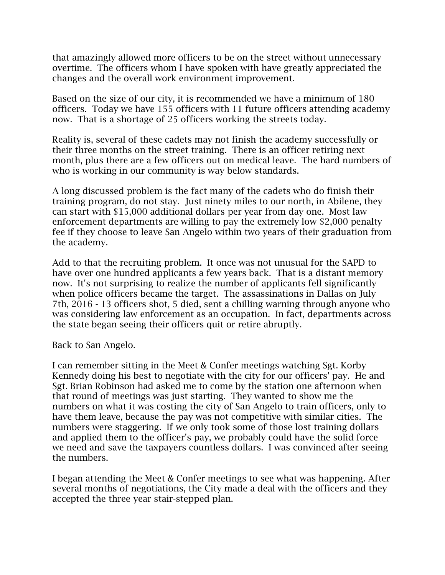that amazingly allowed more officers to be on the street without unnecessary overtime. The officers whom I have spoken with have greatly appreciated the changes and the overall work environment improvement.

Based on the size of our city, it is recommended we have a minimum of 180 officers. Today we have 155 officers with 11 future officers attending academy now. That is a shortage of 25 officers working the streets today.

Reality is, several of these cadets may not finish the academy successfully or their three months on the street training. There is an officer retiring next month, plus there are a few officers out on medical leave. The hard numbers of who is working in our community is way below standards.

A long discussed problem is the fact many of the cadets who do finish their training program, do not stay. Just ninety miles to our north, in Abilene, they can start with \$15,000 additional dollars per year from day one. Most law enforcement departments are willing to pay the extremely low \$2,000 penalty fee if they choose to leave San Angelo within two years of their graduation from the academy.

Add to that the recruiting problem. It once was not unusual for the SAPD to have over one hundred applicants a few years back. That is a distant memory now. It's not surprising to realize the number of applicants fell significantly when police officers became the target. The assassinations in Dallas on July 7th, 2016 - 13 officers shot, 5 died, sent a chilling warning through anyone who was considering law enforcement as an occupation. In fact, departments across the state began seeing their officers quit or retire abruptly.

Back to San Angelo.

I can remember sitting in the Meet & Confer meetings watching Sgt. Korby Kennedy doing his best to negotiate with the city for our officers' pay. He and Sgt. Brian Robinson had asked me to come by the station one afternoon when that round of meetings was just starting. They wanted to show me the numbers on what it was costing the city of San Angelo to train officers, only to have them leave, because the pay was not competitive with similar cities. The numbers were staggering. If we only took some of those lost training dollars and applied them to the officer's pay, we probably could have the solid force we need and save the taxpayers countless dollars. I was convinced after seeing the numbers.

I began attending the Meet & Confer meetings to see what was happening. After several months of negotiations, the City made a deal with the officers and they accepted the three year stair-stepped plan.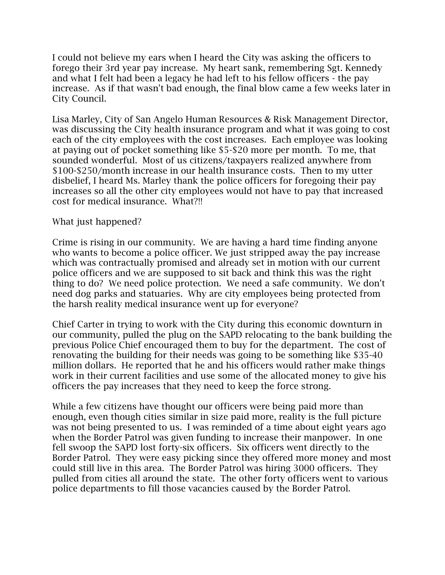I could not believe my ears when I heard the City was asking the officers to forego their 3rd year pay increase. My heart sank, remembering Sgt. Kennedy and what I felt had been a legacy he had left to his fellow officers - the pay increase. As if that wasn't bad enough, the final blow came a few weeks later in City Council.

Lisa Marley, City of San Angelo Human Resources & Risk Management Director, was discussing the City health insurance program and what it was going to cost each of the city employees with the cost increases. Each employee was looking at paying out of pocket something like \$5-\$20 more per month. To me, that sounded wonderful. Most of us citizens/taxpayers realized anywhere from \$100-\$250/month increase in our health insurance costs. Then to my utter disbelief, I heard Ms. Marley thank the police officers for foregoing their pay increases so all the other city employees would not have to pay that increased cost for medical insurance. What?!!

## What just happened?

Crime is rising in our community. We are having a hard time finding anyone who wants to become a police officer. We just stripped away the pay increase which was contractually promised and already set in motion with our current police officers and we are supposed to sit back and think this was the right thing to do? We need police protection. We need a safe community. We don't need dog parks and statuaries. Why are city employees being protected from the harsh reality medical insurance went up for everyone?

Chief Carter in trying to work with the City during this economic downturn in our community, pulled the plug on the SAPD relocating to the bank building the previous Police Chief encouraged them to buy for the department. The cost of renovating the building for their needs was going to be something like \$35-40 million dollars. He reported that he and his officers would rather make things work in their current facilities and use some of the allocated money to give his officers the pay increases that they need to keep the force strong.

While a few citizens have thought our officers were being paid more than enough, even though cities similar in size paid more, reality is the full picture was not being presented to us. I was reminded of a time about eight years ago when the Border Patrol was given funding to increase their manpower. In one fell swoop the SAPD lost forty-six officers. Six officers went directly to the Border Patrol. They were easy picking since they offered more money and most could still live in this area. The Border Patrol was hiring 3000 officers. They pulled from cities all around the state. The other forty officers went to various police departments to fill those vacancies caused by the Border Patrol.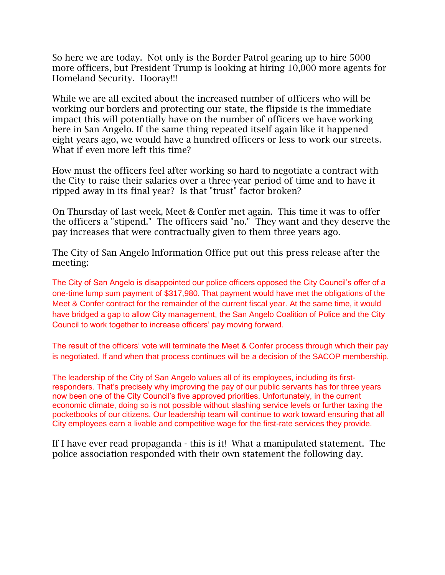So here we are today. Not only is the Border Patrol gearing up to hire 5000 more officers, but President Trump is looking at hiring 10,000 more agents for Homeland Security. Hooray!!!

While we are all excited about the increased number of officers who will be working our borders and protecting our state, the flipside is the immediate impact this will potentially have on the number of officers we have working here in San Angelo. If the same thing repeated itself again like it happened eight years ago, we would have a hundred officers or less to work our streets. What if even more left this time?

How must the officers feel after working so hard to negotiate a contract with the City to raise their salaries over a three-year period of time and to have it ripped away in its final year? Is that "trust" factor broken?

On Thursday of last week, Meet & Confer met again. This time it was to offer the officers a "stipend." The officers said "no." They want and they deserve the pay increases that were contractually given to them three years ago.

The City of San Angelo Information Office put out this press release after the meeting:

The City of San Angelo is disappointed our police officers opposed the City Council's offer of a one-time lump sum payment of \$317,980. That payment would have met the obligations of the Meet & Confer contract for the remainder of the current fiscal year. At the same time, it would have bridged a gap to allow City management, the San Angelo Coalition of Police and the City Council to work together to increase officers' pay moving forward.

The result of the officers' vote will terminate the Meet & Confer process through which their pay is negotiated. If and when that process continues will be a decision of the SACOP membership.

The leadership of the City of San Angelo values all of its employees, including its firstresponders. That's precisely why improving the pay of our public servants has for three years now been one of the City Council's five approved priorities. Unfortunately, in the current economic climate, doing so is not possible without slashing service levels or further taxing the pocketbooks of our citizens. Our leadership team will continue to work toward ensuring that all City employees earn a livable and competitive wage for the first-rate services they provide.

If I have ever read propaganda - this is it! What a manipulated statement. The police association responded with their own statement the following day.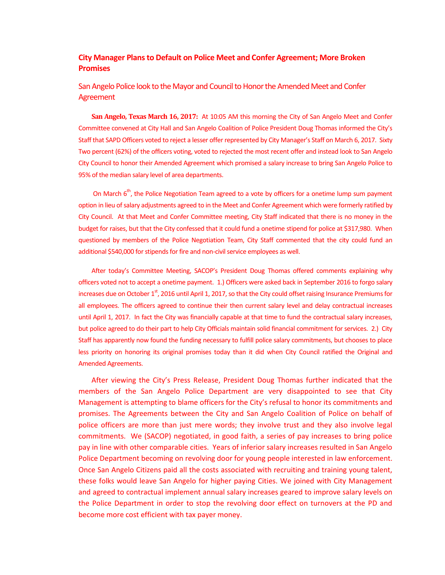## **City Manager Plans to Default on Police Meet and Confer Agreement; More Broken Promises**

## San Angelo Police look to the Mayor and Council to Honor the Amended Meet and Confer Agreement

**San Angelo, Texas March 16, 2017:** At 10:05 AM this morning the City of San Angelo Meet and Confer Committee convened at City Hall and San Angelo Coalition of Police President Doug Thomas informed the City's Staff that SAPD Officers voted to reject a lesser offer represented by City Manager's Staff on March 6, 2017. Sixty Two percent (62%) of the officers voting, voted to rejected the most recent offer and instead look to San Angelo City Council to honor their Amended Agreement which promised a salary increase to bring San Angelo Police to 95% of the median salary level of area departments.

On March  $6<sup>th</sup>$ , the Police Negotiation Team agreed to a vote by officers for a onetime lump sum payment option in lieu of salary adjustments agreed to in the Meet and Confer Agreement which were formerly ratified by City Council. At that Meet and Confer Committee meeting, City Staff indicated that there is no money in the budget for raises, but that the City confessed that it could fund a onetime stipend for police at \$317,980. When questioned by members of the Police Negotiation Team, City Staff commented that the city could fund an additional \$540,000 for stipends for fire and non-civil service employees as well.

After today's Committee Meeting, SACOP's President Doug Thomas offered comments explaining why officers voted not to accept a onetime payment. 1.) Officers were asked back in September 2016 to forgo salary increases due on October  $1<sup>st</sup>$ , 2016 until April 1, 2017, so that the City could offset raising Insurance Premiums for all employees. The officers agreed to continue their then current salary level and delay contractual increases until April 1, 2017. In fact the City was financially capable at that time to fund the contractual salary increases, but police agreed to do their part to help City Officials maintain solid financial commitment for services. 2.) City Staff has apparently now found the funding necessary to fulfill police salary commitments, but chooses to place less priority on honoring its original promises today than it did when City Council ratified the Original and Amended Agreements.

After viewing the City's Press Release, President Doug Thomas further indicated that the members of the San Angelo Police Department are very disappointed to see that City Management is attempting to blame officers for the City's refusal to honor its commitments and promises. The Agreements between the City and San Angelo Coalition of Police on behalf of police officers are more than just mere words; they involve trust and they also involve legal commitments. We (SACOP) negotiated, in good faith, a series of pay increases to bring police pay in line with other comparable cities. Years of inferior salary increases resulted in San Angelo Police Department becoming on revolving door for young people interested in law enforcement. Once San Angelo Citizens paid all the costs associated with recruiting and training young talent, these folks would leave San Angelo for higher paying Cities. We joined with City Management and agreed to contractual implement annual salary increases geared to improve salary levels on the Police Department in order to stop the revolving door effect on turnovers at the PD and become more cost efficient with tax payer money.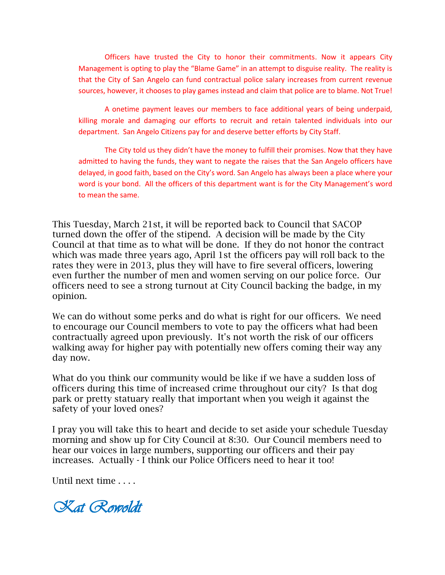Officers have trusted the City to honor their commitments. Now it appears City Management is opting to play the "Blame Game" in an attempt to disguise reality. The reality is that the City of San Angelo can fund contractual police salary increases from current revenue sources, however, it chooses to play games instead and claim that police are to blame. Not True!

A onetime payment leaves our members to face additional years of being underpaid, killing morale and damaging our efforts to recruit and retain talented individuals into our department. San Angelo Citizens pay for and deserve better efforts by City Staff.

The City told us they didn't have the money to fulfill their promises. Now that they have admitted to having the funds, they want to negate the raises that the San Angelo officers have delayed, in good faith, based on the City's word. San Angelo has always been a place where your word is your bond. All the officers of this department want is for the City Management's word to mean the same.

This Tuesday, March 21st, it will be reported back to Council that SACOP turned down the offer of the stipend. A decision will be made by the City Council at that time as to what will be done. If they do not honor the contract which was made three years ago, April 1st the officers pay will roll back to the rates they were in 2013, plus they will have to fire several officers, lowering even further the number of men and women serving on our police force. Our officers need to see a strong turnout at City Council backing the badge, in my opinion.

We can do without some perks and do what is right for our officers. We need to encourage our Council members to vote to pay the officers what had been contractually agreed upon previously. It's not worth the risk of our officers walking away for higher pay with potentially new offers coming their way any day now.

What do you think our community would be like if we have a sudden loss of officers during this time of increased crime throughout our city? Is that dog park or pretty statuary really that important when you weigh it against the safety of your loved ones?

I pray you will take this to heart and decide to set aside your schedule Tuesday morning and show up for City Council at 8:30. Our Council members need to hear our voices in large numbers, supporting our officers and their pay increases. Actually - I think our Police Officers need to hear it too!

Until next time . . . .

*Kat Rowoldt*